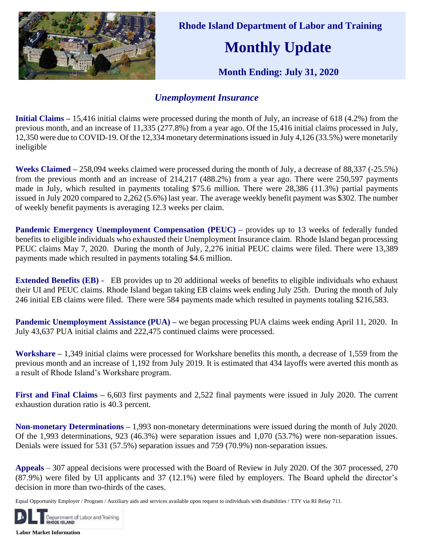

 **Rhode Island Department of Labor and Training**

## **Monthly Update**

 **Month Ending: July 31, 2020**

## *Unemployment Insurance*

**Initial Claims –** 15,416 initial claims were processed during the month of July, an increase of 618 (4.2%) from the previous month, and an increase of 11,335 (277.8%) from a year ago. Of the 15,416 initial claims processed in July, 12,350 were due to COVID-19. Of the 12,334 monetary determinationsissued in July 4,126 (33.5%) were monetarily ineligible

**Weeks Claimed –** 258,094 weeks claimed were processed during the month of July, a decrease of 88,337 (-25.5%) from the previous month and an increase of 214,217 (488.2%) from a year ago. There were 250,597 payments made in July, which resulted in payments totaling \$75.6 million. There were 28,386 (11.3%) partial payments issued in July 2020 compared to 2,262 (5.6%) last year. The average weekly benefit payment was \$302. The number of weekly benefit payments is averaging 12.3 weeks per claim.

**Pandemic Emergency Unemployment Compensation (PEUC) –** provides up to 13 weeks of federally funded benefits to eligible individuals who exhausted their Unemployment Insurance claim. Rhode Island began processing PEUC claims May 7, 2020. During the month of July, 2,276 initial PEUC claims were filed. There were 13,389 payments made which resulted in payments totaling \$4.6 million.

**Extended Benefits (EB) -** EB provides up to 20 additional weeks of benefits to eligible individuals who exhaust their UI and PEUC claims. Rhode Island began taking EB claims week ending July 25th. During the month of July 246 initial EB claims were filed. There were 584 payments made which resulted in payments totaling \$216,583.

**Pandemic Unemployment Assistance (PUA)** – we began processing PUA claims week ending April 11, 2020. In July 43,637 PUA initial claims and 222,475 continued claims were processed.

**Workshare –** 1,349 initial claims were processed for Workshare benefits this month, a decrease of 1,559 from the previous month and an increase of 1,192 from July 2019. It is estimated that 434 layoffs were averted this month as a result of Rhode Island's Workshare program.

**First and Final Claims –** 6,603 first payments and 2,522 final payments were issued in July 2020. The current exhaustion duration ratio is 40.3 percent.

**Non-monetary Determinations –** 1,993 non-monetary determinations were issued during the month of July 2020. Of the 1,993 determinations, 923 (46.3%) were separation issues and 1,070 (53.7%) were non-separation issues. Denials were issued for 531 (57.5%) separation issues and 759 (70.9%) non-separation issues.

**Appeals** – 307 appeal decisions were processed with the Board of Review in July 2020. Of the 307 processed, 270 (87.9%) were filed by UI applicants and 37 (12.1%) were filed by employers. The Board upheld the director's decision in more than two-thirds of the cases.

Equal Opportunity Employer / Program / Auxiliary aids and services available upon request to individuals with disabilities / TTY via RI Relay 711.



**Labor Market Information**